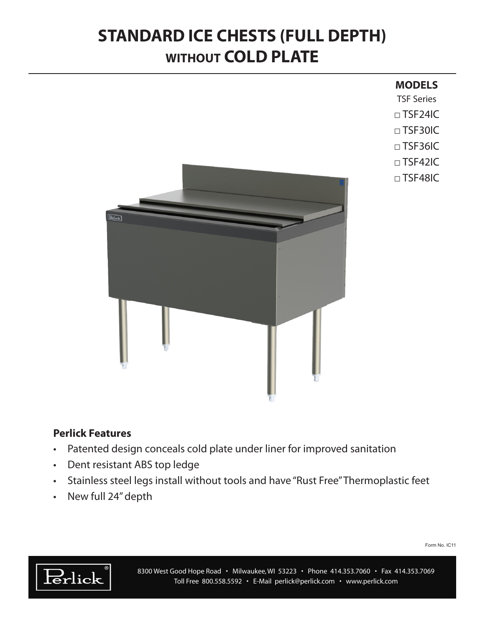## **STANDARD ICE CHESTS (FULL DEPTH) WITHOUT COLD PLATE**

## **MODELS**

TSF Series

 $\Box$  TSF24IC

- □ TSF30IC
- □ TSF36IC

 $\Box$  TSF42IC

□ TSF48IC



## **Perlick Features**

- Patented design conceals cold plate under liner for improved sanitation
- • Dent resistant ABS top ledge
- • Stainless steel legs install without tools and have "Rust Free"Thermoplastic feet
- • New full 24"depth

Form No. IC11